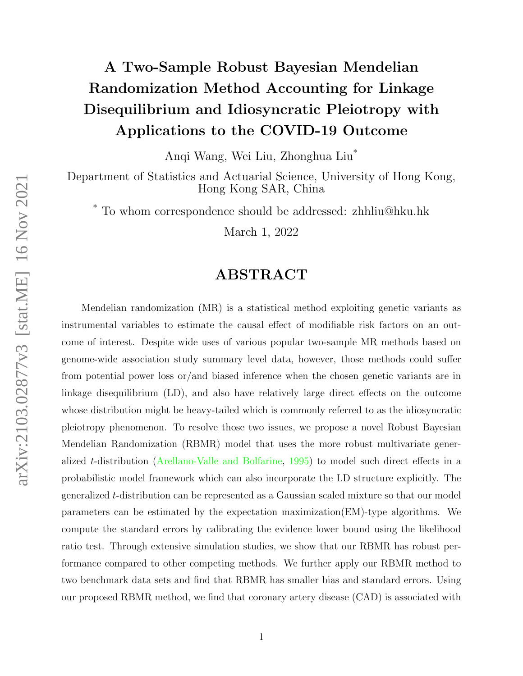# A Two-Sample Robust Bayesian Mendelian Randomization Method Accounting for Linkage Disequilibrium and Idiosyncratic Pleiotropy with Applications to the COVID-19 Outcome

Anqi Wang, Wei Liu, Zhonghua Liu\*

Department of Statistics and Actuarial Science, University of Hong Kong, Hong Kong SAR, China

To whom correspondence should be addressed: zhhliu@hku.hk

March 1, 2022

# ABSTRACT

Mendelian randomization (MR) is a statistical method exploiting genetic variants as instrumental variables to estimate the causal effect of modifiable risk factors on an outcome of interest. Despite wide uses of various popular two-sample MR methods based on genome-wide association study summary level data, however, those methods could suffer from potential power loss or/and biased inference when the chosen genetic variants are in linkage disequilibrium (LD), and also have relatively large direct effects on the outcome whose distribution might be heavy-tailed which is commonly referred to as the idiosyncratic pleiotropy phenomenon. To resolve those two issues, we propose a novel Robust Bayesian Mendelian Randomization (RBMR) model that uses the more robust multivariate generalized t-distribution [\(Arellano-Valle and Bolfarine,](#page-17-0) [1995\)](#page-17-0) to model such direct effects in a probabilistic model framework which can also incorporate the LD structure explicitly. The generalized t-distribution can be represented as a Gaussian scaled mixture so that our model parameters can be estimated by the expectation maximization(EM)-type algorithms. We compute the standard errors by calibrating the evidence lower bound using the likelihood ratio test. Through extensive simulation studies, we show that our RBMR has robust performance compared to other competing methods. We further apply our RBMR method to two benchmark data sets and find that RBMR has smaller bias and standard errors. Using our proposed RBMR method, we find that coronary artery disease (CAD) is associated with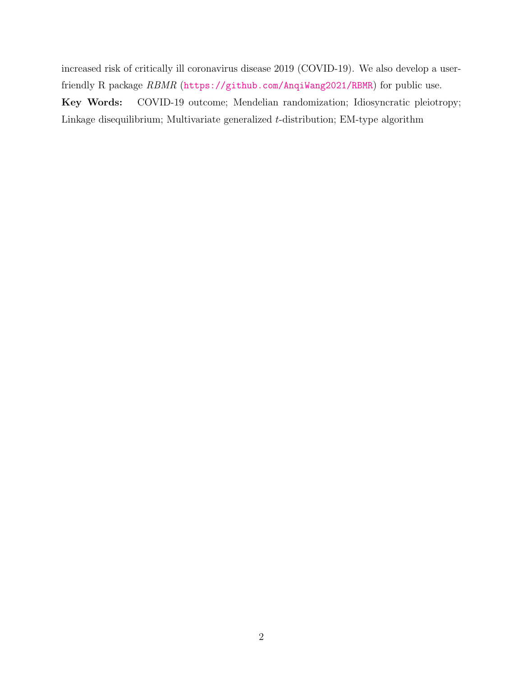increased risk of critically ill coronavirus disease 2019 (COVID-19). We also develop a userfriendly R package RBMR (<https://github.com/AnqiWang2021/RBMR>) for public use. Key Words: COVID-19 outcome; Mendelian randomization; Idiosyncratic pleiotropy; Linkage disequilibrium; Multivariate generalized t-distribution; EM-type algorithm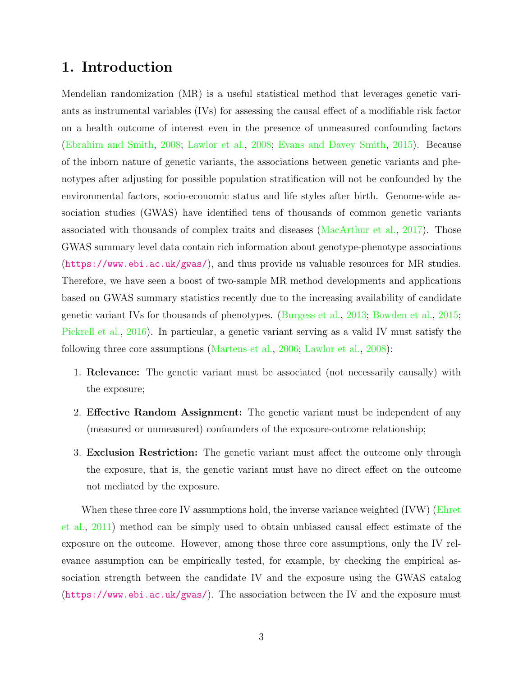# 1. Introduction

Mendelian randomization (MR) is a useful statistical method that leverages genetic variants as instrumental variables (IVs) for assessing the causal effect of a modifiable risk factor on a health outcome of interest even in the presence of unmeasured confounding factors [\(Ebrahim and Smith,](#page-18-0) [2008;](#page-18-0) [Lawlor et al.,](#page-19-0) [2008;](#page-19-0) [Evans and Davey Smith,](#page-19-1) [2015\)](#page-19-1). Because of the inborn nature of genetic variants, the associations between genetic variants and phenotypes after adjusting for possible population stratification will not be confounded by the environmental factors, socio-economic status and life styles after birth. Genome-wide association studies (GWAS) have identified tens of thousands of common genetic variants associated with thousands of complex traits and diseases [\(MacArthur et al.,](#page-20-0) [2017\)](#page-20-0). Those GWAS summary level data contain rich information about genotype-phenotype associations (<https://www.ebi.ac.uk/gwas/>), and thus provide us valuable resources for MR studies. Therefore, we have seen a boost of two-sample MR method developments and applications based on GWAS summary statistics recently due to the increasing availability of candidate genetic variant IVs for thousands of phenotypes. [\(Burgess et al.,](#page-18-1) [2013;](#page-18-1) [Bowden et al.,](#page-17-1) [2015;](#page-17-1) [Pickrell et al.,](#page-20-1) [2016\)](#page-20-1). In particular, a genetic variant serving as a valid IV must satisfy the following three core assumptions [\(Martens et al.,](#page-20-2) [2006;](#page-20-2) [Lawlor et al.,](#page-19-0) [2008\)](#page-19-0):

- 1. Relevance: The genetic variant must be associated (not necessarily causally) with the exposure;
- 2. Effective Random Assignment: The genetic variant must be independent of any (measured or unmeasured) confounders of the exposure-outcome relationship;
- 3. Exclusion Restriction: The genetic variant must affect the outcome only through the exposure, that is, the genetic variant must have no direct effect on the outcome not mediated by the exposure.

When these three core IV assumptions hold, the inverse variance weighted (IVW) [\(Ehret](#page-18-2) [et al.,](#page-18-2) [2011\)](#page-18-2) method can be simply used to obtain unbiased causal effect estimate of the exposure on the outcome. However, among those three core assumptions, only the IV relevance assumption can be empirically tested, for example, by checking the empirical association strength between the candidate IV and the exposure using the GWAS catalog (<https://www.ebi.ac.uk/gwas/>). The association between the IV and the exposure must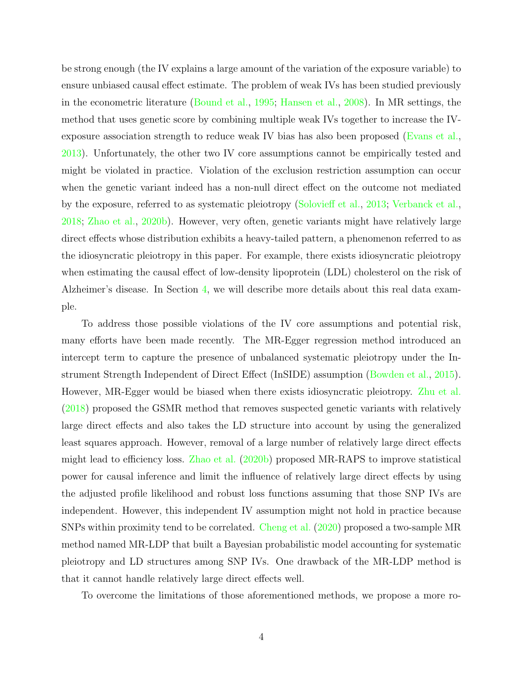be strong enough (the IV explains a large amount of the variation of the exposure variable) to ensure unbiased causal effect estimate. The problem of weak IVs has been studied previously in the econometric literature [\(Bound et al.,](#page-17-2) [1995;](#page-17-2) [Hansen et al.,](#page-19-2) [2008\)](#page-19-2). In MR settings, the method that uses genetic score by combining multiple weak IVs together to increase the IVexposure association strength to reduce weak IV bias has also been proposed [\(Evans et al.,](#page-18-3) [2013\)](#page-18-3). Unfortunately, the other two IV core assumptions cannot be empirically tested and might be violated in practice. Violation of the exclusion restriction assumption can occur when the genetic variant indeed has a non-null direct effect on the outcome not mediated by the exposure, referred to as systematic pleiotropy [\(Solovieff et al.,](#page-20-3) [2013;](#page-20-3) [Verbanck et al.,](#page-21-0) [2018;](#page-21-0) [Zhao et al.,](#page-21-1) [2020b\)](#page-21-1). However, very often, genetic variants might have relatively large direct effects whose distribution exhibits a heavy-tailed pattern, a phenomenon referred to as the idiosyncratic pleiotropy in this paper. For example, there exists idiosyncratic pleiotropy when estimating the causal effect of low-density lipoprotein (LDL) cholesterol on the risk of Alzheimer's disease. In Section [4,](#page-12-0) we will describe more details about this real data example.

To address those possible violations of the IV core assumptions and potential risk, many efforts have been made recently. The MR-Egger regression method introduced an intercept term to capture the presence of unbalanced systematic pleiotropy under the Instrument Strength Independent of Direct Effect (InSIDE) assumption [\(Bowden et al.,](#page-17-1) [2015\)](#page-17-1). However, MR-Egger would be biased when there exists idiosyncratic pleiotropy. [Zhu et al.](#page-21-2) [\(2018\)](#page-21-2) proposed the GSMR method that removes suspected genetic variants with relatively large direct effects and also takes the LD structure into account by using the generalized least squares approach. However, removal of a large number of relatively large direct effects might lead to efficiency loss. [Zhao et al.](#page-21-1) [\(2020b\)](#page-21-1) proposed MR-RAPS to improve statistical power for causal inference and limit the influence of relatively large direct effects by using the adjusted profile likelihood and robust loss functions assuming that those SNP IVs are independent. However, this independent IV assumption might not hold in practice because SNPs within proximity tend to be correlated. [Cheng et al.](#page-18-4) [\(2020\)](#page-18-4) proposed a two-sample MR method named MR-LDP that built a Bayesian probabilistic model accounting for systematic pleiotropy and LD structures among SNP IVs. One drawback of the MR-LDP method is that it cannot handle relatively large direct effects well.

To overcome the limitations of those aforementioned methods, we propose a more ro-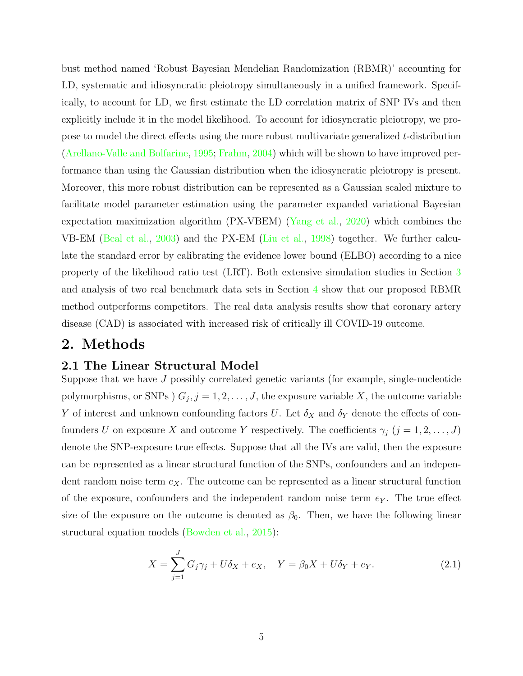bust method named 'Robust Bayesian Mendelian Randomization (RBMR)' accounting for LD, systematic and idiosyncratic pleiotropy simultaneously in a unified framework. Specifically, to account for LD, we first estimate the LD correlation matrix of SNP IVs and then explicitly include it in the model likelihood. To account for idiosyncratic pleiotropy, we propose to model the direct effects using the more robust multivariate generalized  $t$ -distribution [\(Arellano-Valle and Bolfarine,](#page-17-0) [1995;](#page-17-0) [Frahm,](#page-19-3) [2004\)](#page-19-3) which will be shown to have improved performance than using the Gaussian distribution when the idiosyncratic pleiotropy is present. Moreover, this more robust distribution can be represented as a Gaussian scaled mixture to facilitate model parameter estimation using the parameter expanded variational Bayesian expectation maximization algorithm (PX-VBEM) [\(Yang et al.,](#page-21-3) [2020\)](#page-21-3) which combines the VB-EM [\(Beal et al.,](#page-17-3) [2003\)](#page-17-3) and the PX-EM [\(Liu et al.,](#page-19-4) [1998\)](#page-19-4) together. We further calculate the standard error by calibrating the evidence lower bound (ELBO) according to a nice property of the likelihood ratio test (LRT). Both extensive simulation studies in Section [3](#page-10-0) and analysis of two real benchmark data sets in Section [4](#page-12-0) show that our proposed RBMR method outperforms competitors. The real data analysis results show that coronary artery disease (CAD) is associated with increased risk of critically ill COVID-19 outcome.

### 2. Methods

#### 2.1 The Linear Structural Model

Suppose that we have J possibly correlated genetic variants (for example, single-nucleotide polymorphisms, or SNPs  $(G_j, j = 1, 2, ..., J)$ , the exposure variable X, the outcome variable Y of interest and unknown confounding factors U. Let  $\delta_X$  and  $\delta_Y$  denote the effects of confounders U on exposure X and outcome Y respectively. The coefficients  $\gamma_j$   $(j = 1, 2, \ldots, J)$ denote the SNP-exposure true effects. Suppose that all the IVs are valid, then the exposure can be represented as a linear structural function of the SNPs, confounders and an independent random noise term  $e_X$ . The outcome can be represented as a linear structural function of the exposure, confounders and the independent random noise term  $e<sub>Y</sub>$ . The true effect size of the exposure on the outcome is denoted as  $\beta_0$ . Then, we have the following linear structural equation models [\(Bowden et al.,](#page-17-1) [2015\)](#page-17-1):

$$
X = \sum_{j=1}^{J} G_j \gamma_j + U \delta_X + e_X, \quad Y = \beta_0 X + U \delta_Y + e_Y.
$$
 (2.1)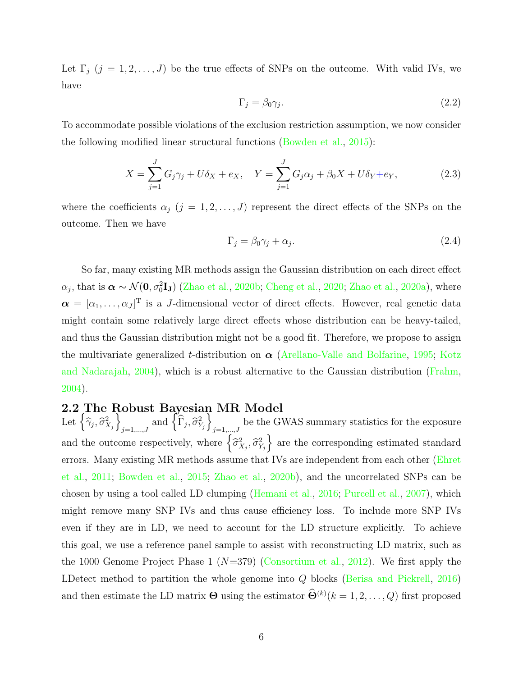Let  $\Gamma_j$   $(j = 1, 2, ..., J)$  be the true effects of SNPs on the outcome. With valid IVs, we have

$$
\Gamma_j = \beta_0 \gamma_j. \tag{2.2}
$$

To accommodate possible violations of the exclusion restriction assumption, we now consider the following modified linear structural functions [\(Bowden et al.,](#page-17-1) [2015\)](#page-17-1):

$$
X = \sum_{j=1}^{J} G_j \gamma_j + U \delta_X + e_X, \quad Y = \sum_{j=1}^{J} G_j \alpha_j + \beta_0 X + U \delta_Y + e_Y,
$$
 (2.3)

where the coefficients  $\alpha_j$  (j = 1, 2, ..., J) represent the direct effects of the SNPs on the outcome. Then we have

$$
\Gamma_j = \beta_0 \gamma_j + \alpha_j. \tag{2.4}
$$

So far, many existing MR methods assign the Gaussian distribution on each direct effect  $\alpha_j$ , that is  $\alpha \sim \mathcal{N}(0, \sigma_0^2 \mathbf{I_J})$  [\(Zhao et al.,](#page-21-1) [2020b;](#page-21-1) [Cheng et al.,](#page-18-4) [2020;](#page-18-4) [Zhao et al.,](#page-21-4) [2020a\)](#page-21-4), where  $\boldsymbol{\alpha} = [\alpha_1, \dots, \alpha_J]^T$  is a J-dimensional vector of direct effects. However, real genetic data might contain some relatively large direct effects whose distribution can be heavy-tailed, and thus the Gaussian distribution might not be a good fit. Therefore, we propose to assign the multivariate generalized t-distribution on  $\alpha$  [\(Arellano-Valle and Bolfarine,](#page-17-0) [1995;](#page-17-0) [Kotz](#page-19-5) [and Nadarajah,](#page-19-5) [2004\)](#page-19-5), which is a robust alternative to the Gaussian distribution [\(Frahm,](#page-19-3) [2004\)](#page-19-3).

#### 2.2 The Robust Bayesian MR Model

Let  $\left\{\widehat{\gamma}_j,\widehat{\sigma}_{X_j}^2\right\}$  $\left\{\widehat{\Gamma}_j, \widehat{\sigma}_{Y_j}^2\right\}$ be the GWAS summary statistics for the exposure  $j=1,\ldots,J$ and the outcome respectively, where  $\left\{\widehat{\sigma}_{X_j}^2, \widehat{\sigma}_{Y_j}^2\right\}$  are the corresponding estimated standard errors. Many existing MR methods assume that IVs are independent from each other [\(Ehret](#page-18-2) [et al.,](#page-18-2) [2011;](#page-18-2) [Bowden et al.,](#page-17-1) [2015;](#page-17-1) [Zhao et al.,](#page-21-1) [2020b\)](#page-21-1), and the uncorrelated SNPs can be chosen by using a tool called LD clumping [\(Hemani et al.,](#page-19-6) [2016;](#page-19-6) [Purcell et al.,](#page-20-4) [2007\)](#page-20-4), which might remove many SNP IVs and thus cause efficiency loss. To include more SNP IVs even if they are in LD, we need to account for the LD structure explicitly. To achieve this goal, we use a reference panel sample to assist with reconstructing LD matrix, such as the 1000 Genome Project Phase 1 ( $N=379$ ) [\(Consortium et al.,](#page-18-5) [2012\)](#page-18-5). We first apply the LDetect method to partition the whole genome into Q blocks [\(Berisa and Pickrell,](#page-17-4) [2016\)](#page-17-4) and then estimate the LD matrix  $\Theta$  using the estimator  $\widehat{\Theta}^{(k)}(k=1,2,\ldots,Q)$  first proposed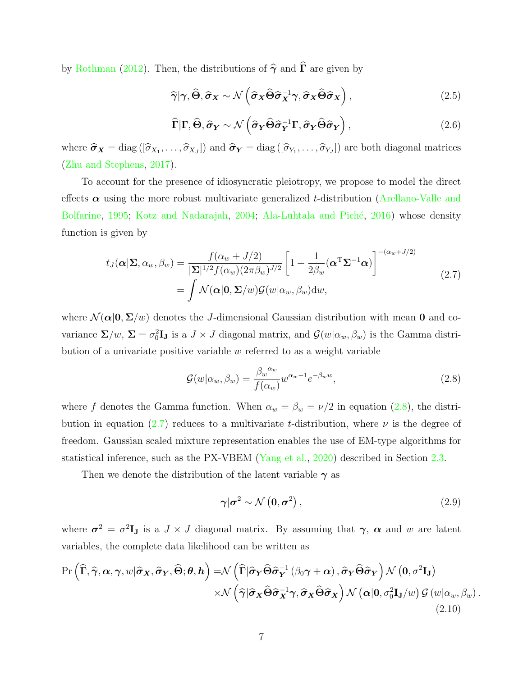by [Rothman](#page-20-5) [\(2012\)](#page-20-5). Then, the distributions of  $\hat{\gamma}$  and  $\hat{\Gamma}$  are given by

<span id="page-6-2"></span>
$$
\widehat{\gamma}|\gamma,\widehat{\Theta},\widehat{\sigma}_X \sim \mathcal{N}\left(\widehat{\sigma}_X\widehat{\Theta}\widehat{\sigma}_X^{-1}\gamma,\widehat{\sigma}_X\widehat{\Theta}\widehat{\sigma}_X\right),\tag{2.5}
$$

$$
\widehat{\Gamma}|\Gamma,\widehat{\Theta},\widehat{\sigma}_{Y} \sim \mathcal{N}\left(\widehat{\sigma}_{Y}\widehat{\Theta}\widehat{\sigma}_{Y}^{-1}\Gamma,\widehat{\sigma}_{Y}\widehat{\Theta}\widehat{\sigma}_{Y}\right),\tag{2.6}
$$

where  $\hat{\sigma}_X = \text{diag}([\hat{\sigma}_{X_1}, \dots, \hat{\sigma}_{X_J}])$  and  $\hat{\sigma}_Y = \text{diag}([\hat{\sigma}_{Y_1}, \dots, \hat{\sigma}_{Y_J}])$  are both diagonal matrices [\(Zhu and Stephens,](#page-21-5) [2017\)](#page-21-5).

To account for the presence of idiosyncratic pleiotropy, we propose to model the direct effects  $\alpha$  using the more robust multivariate generalized t-distribution [\(Arellano-Valle and](#page-17-0) [Bolfarine,](#page-17-0) [1995;](#page-17-0) [Kotz and Nadarajah,](#page-19-5) [2004;](#page-19-5) Ala-Luhtala and Piché, [2016\)](#page-17-5) whose density function is given by

<span id="page-6-1"></span>
$$
t_J(\boldsymbol{\alpha}|\boldsymbol{\Sigma}, \alpha_w, \beta_w) = \frac{f(\alpha_w + J/2)}{|\boldsymbol{\Sigma}|^{1/2} f(\alpha_w)(2\pi \beta_w)^{J/2}} \left[1 + \frac{1}{2\beta_w} (\boldsymbol{\alpha}^{\mathrm{T}} \boldsymbol{\Sigma}^{-1} \boldsymbol{\alpha})\right]^{-(\alpha_w + J/2)}
$$
  
= 
$$
\int \mathcal{N}(\boldsymbol{\alpha}|\mathbf{0}, \boldsymbol{\Sigma}/w) \mathcal{G}(w|\alpha_w, \beta_w) dw,
$$
 (2.7)

where  $\mathcal{N}(\alpha|0, \Sigma/w)$  denotes the J-dimensional Gaussian distribution with mean 0 and covariance  $\Sigma/w$ ,  $\Sigma = \sigma_0^2 \mathbf{I}_J$  is a  $J \times J$  diagonal matrix, and  $\mathcal{G}(w|\alpha_w, \beta_w)$  is the Gamma distribution of a univariate positive variable  $w$  referred to as a weight variable

<span id="page-6-0"></span>
$$
\mathcal{G}(w|\alpha_w, \beta_w) = \frac{\beta_w^{\alpha_w}}{f(\alpha_w)} w^{\alpha_w - 1} e^{-\beta_w w}, \qquad (2.8)
$$

where f denotes the Gamma function. When  $\alpha_w = \beta_w = \nu/2$  in equation [\(2.8\)](#page-6-0), the distri-bution in equation [\(2.7\)](#page-6-1) reduces to a multivariate t-distribution, where  $\nu$  is the degree of freedom. Gaussian scaled mixture representation enables the use of EM-type algorithms for statistical inference, such as the PX-VBEM [\(Yang et al.,](#page-21-3) [2020\)](#page-21-3) described in Section [2.3.](#page-7-0)

Then we denote the distribution of the latent variable  $\gamma$  as

$$
\gamma|\sigma^2 \sim \mathcal{N}\left(0, \sigma^2\right),\tag{2.9}
$$

where  $\sigma^2 = \sigma^2 \mathbf{I}_J$  is a  $J \times J$  diagonal matrix. By assuming that  $\gamma$ ,  $\alpha$  and w are latent variables, the complete data likelihood can be written as

<span id="page-6-3"></span>
$$
\Pr\left(\widehat{\Gamma},\widehat{\gamma},\alpha,\gamma,w|\widehat{\sigma}_X,\widehat{\sigma}_Y,\widehat{\Theta};\theta,h\right) = \mathcal{N}\left(\widehat{\Gamma}|\widehat{\sigma}_Y\widehat{\Theta}\widehat{\sigma}_Y^{-1}(\beta_0\gamma+\alpha),\widehat{\sigma}_Y\widehat{\Theta}\widehat{\sigma}_Y\right)\mathcal{N}\left(0,\sigma^2\mathbf{I}_{\mathbf{J}}\right) \times \mathcal{N}\left(\widehat{\gamma}|\widehat{\sigma}_X\widehat{\Theta}\widehat{\sigma}_X^{-1}\gamma,\widehat{\sigma}_X\widehat{\Theta}\widehat{\sigma}_X\right)\mathcal{N}\left(\alpha|0,\sigma_0^2\mathbf{I}_{\mathbf{J}}/w\right)\mathcal{G}\left(w|\alpha_w,\beta_w\right).
$$
\n(2.10)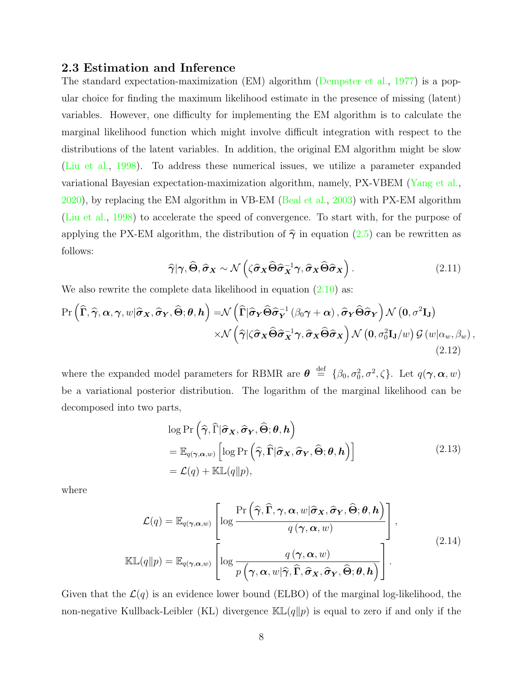#### <span id="page-7-0"></span>2.3 Estimation and Inference

The standard expectation-maximization (EM) algorithm [\(Dempster et al.,](#page-18-6) [1977\)](#page-18-6) is a popular choice for finding the maximum likelihood estimate in the presence of missing (latent) variables. However, one difficulty for implementing the EM algorithm is to calculate the marginal likelihood function which might involve difficult integration with respect to the distributions of the latent variables. In addition, the original EM algorithm might be slow [\(Liu et al.,](#page-19-4) [1998\)](#page-19-4). To address these numerical issues, we utilize a parameter expanded variational Bayesian expectation-maximization algorithm, namely, PX-VBEM [\(Yang et al.,](#page-21-3) [2020\)](#page-21-3), by replacing the EM algorithm in VB-EM [\(Beal et al.,](#page-17-3) [2003\)](#page-17-3) with PX-EM algorithm [\(Liu et al.,](#page-19-4) [1998\)](#page-19-4) to accelerate the speed of convergence. To start with, for the purpose of applying the PX-EM algorithm, the distribution of  $\hat{\gamma}$  in equation [\(2.5\)](#page-6-2) can be rewritten as follows:

$$
\widehat{\gamma}|\gamma, \widehat{\Theta}, \widehat{\sigma}_X \sim \mathcal{N}\left(\zeta \widehat{\sigma}_X \widehat{\Theta} \widehat{\sigma}_X^{-1} \gamma, \widehat{\sigma}_X \widehat{\Theta} \widehat{\sigma}_X\right). \tag{2.11}
$$

We also rewrite the complete data likelihood in equation  $(2.10)$  as:

$$
\Pr\left(\widehat{\Gamma},\widehat{\gamma},\alpha,\gamma,w|\widehat{\sigma}_X,\widehat{\sigma}_Y,\widehat{\Theta};\theta,h\right) = \mathcal{N}\left(\widehat{\Gamma}|\widehat{\sigma}_Y\widehat{\Theta}\widehat{\sigma}_Y^{-1}(\beta_0\gamma+\alpha),\widehat{\sigma}_Y\widehat{\Theta}\widehat{\sigma}_Y\right)\mathcal{N}\left(0,\sigma^2\mathbf{I}_{\mathbf{J}}\right) \times \mathcal{N}\left(\widehat{\gamma}|\zeta\widehat{\sigma}_X\widehat{\Theta}\widehat{\sigma}_X^{-1}\gamma,\widehat{\sigma}_X\widehat{\Theta}\widehat{\sigma}_X\right)\mathcal{N}\left(0,\sigma_0^2\mathbf{I}_{\mathbf{J}}/w\right)\mathcal{G}\left(w|\alpha_w,\beta_w\right),
$$
\n(2.12)

where the expanded model parameters for RBMR are  $\boldsymbol{\theta} \stackrel{\text{def}}{=} {\theta_0, \sigma_0^2, \sigma^2, \zeta}.$  Let  $q(\boldsymbol{\gamma}, \boldsymbol{\alpha}, w)$ be a variational posterior distribution. The logarithm of the marginal likelihood can be decomposed into two parts,

$$
\log \Pr\left(\widehat{\gamma}, \widehat{\Gamma} | \widehat{\sigma}_{\mathbf{X}}, \widehat{\sigma}_{\mathbf{Y}}, \widehat{\Theta}; \theta, \mathbf{h}\right) \n= \mathbb{E}_{q(\gamma, \alpha, w)} \left[ \log \Pr\left(\widehat{\gamma}, \widehat{\Gamma} | \widehat{\sigma}_{\mathbf{X}}, \widehat{\sigma}_{\mathbf{Y}}, \widehat{\Theta}; \theta, \mathbf{h}\right) \right] \n= \mathcal{L}(q) + \mathbb{KL}(q || p),
$$
\n(2.13)

where

$$
\mathcal{L}(q) = \mathbb{E}_{q(\gamma,\alpha,w)} \left[ \log \frac{\Pr\left(\widehat{\gamma}, \widehat{\Gamma}, \gamma, \alpha, w | \widehat{\sigma}_X, \widehat{\sigma}_Y, \widehat{\Theta}; \theta, h\right)}{q(\gamma, \alpha, w)} \right],
$$
\n
$$
\mathbb{KL}(q||p) = \mathbb{E}_{q(\gamma,\alpha,w)} \left[ \log \frac{q(\gamma, \alpha, w)}{p\left(\gamma, \alpha, w | \widehat{\gamma}, \widehat{\Gamma}, \widehat{\sigma}_X, \widehat{\sigma}_Y, \widehat{\Theta}; \theta, h\right)} \right].
$$
\n(2.14)

Given that the  $\mathcal{L}(q)$  is an evidence lower bound (ELBO) of the marginal log-likelihood, the non-negative Kullback-Leibler (KL) divergence  $\mathbb{KL}(q||p)$  is equal to zero if and only if the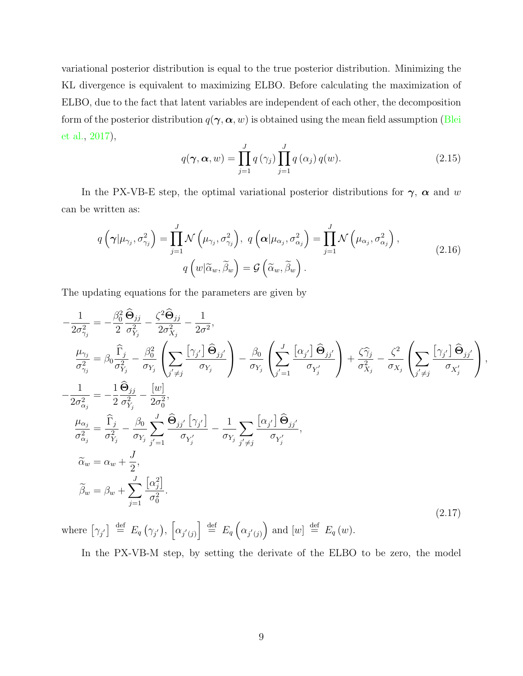variational posterior distribution is equal to the true posterior distribution. Minimizing the KL divergence is equivalent to maximizing ELBO. Before calculating the maximization of ELBO, due to the fact that latent variables are independent of each other, the decomposition form of the posterior distribution  $q(\gamma, \alpha, w)$  is obtained using the mean field assumption [\(Blei](#page-17-6) [et al.,](#page-17-6) [2017\)](#page-17-6),

$$
q(\boldsymbol{\gamma}, \boldsymbol{\alpha}, w) = \prod_{j=1}^{J} q(\gamma_j) \prod_{j=1}^{J} q(\alpha_j) q(w).
$$
 (2.15)

In the PX-VB-E step, the optimal variational posterior distributions for  $\gamma$ ,  $\alpha$  and w can be written as:

$$
q\left(\gamma|\mu_{\gamma_j}, \sigma_{\gamma_j}^2\right) = \prod_{j=1}^J \mathcal{N}\left(\mu_{\gamma_j}, \sigma_{\gamma_j}^2\right), \ q\left(\alpha|\mu_{\alpha_j}, \sigma_{\alpha_j}^2\right) = \prod_{j=1}^J \mathcal{N}\left(\mu_{\alpha_j}, \sigma_{\alpha_j}^2\right),
$$
  

$$
q\left(w|\widetilde{\alpha}_w, \widetilde{\beta}_w\right) = \mathcal{G}\left(\widetilde{\alpha}_w, \widetilde{\beta}_w\right).
$$
 (2.16)

The updating equations for the parameters are given by

$$
-\frac{1}{2\sigma_{\gamma_j}^2} = -\frac{\beta_0^2}{2} \frac{\hat{\Theta}_{jj}}{\sigma_{Y_j}^2} - \frac{\zeta^2 \hat{\Theta}_{jj}}{2\sigma_{X_j}^2} - \frac{1}{2\sigma^2},
$$
\n
$$
\frac{\mu_{\gamma_j}}{\sigma_{\gamma_j}^2} = \beta_0 \frac{\hat{\Gamma}_j}{\sigma_{Y_j}^2} - \frac{\beta_0^2}{\sigma_{Y_j}} \left( \sum_{j' \neq j} \frac{\left[ \gamma_j \right] \hat{\Theta}_{jj'}}{\sigma_{Y_j}} \right) - \frac{\beta_0}{\sigma_{Y_j}} \left( \sum_{j'=1}^J \frac{\left[ \alpha_j \right] \hat{\Theta}_{jj'}}{\sigma_{Y_j}^2} \right) + \frac{\zeta \hat{\gamma}_j}{\sigma_{X_j}^2} - \frac{\zeta^2}{\sigma_{X_j}} \left( \sum_{j' \neq j} \frac{\left[ \gamma_j \right] \hat{\Theta}_{jj'}}{\sigma_{X_j}^2} \right),
$$
\n
$$
-\frac{1}{2\sigma_{\alpha_j}^2} = -\frac{1}{2} \frac{\hat{\Theta}_{jj}}{\sigma_{Y_j}^2} - \frac{\left[ w \right]}{2\sigma_0^2},
$$
\n
$$
\frac{\mu_{\alpha_j}}{\sigma_{\alpha_j}^2} = \frac{\hat{\Gamma}_j}{\sigma_{Y_j}^2} - \frac{\beta_0}{\sigma_{Y_j}} \sum_{j'=1}^J \frac{\hat{\Theta}_{jj'} \left[ \gamma_{j'} \right]}{\sigma_{Y_j'}} - \frac{1}{\sigma_{Y_j}} \sum_{j' \neq j} \frac{\left[ \alpha_{j'} \right] \hat{\Theta}_{jj'}}{\sigma_{Y_j'}},
$$
\n
$$
\tilde{\alpha}_w = \alpha_w + \frac{J}{2},
$$
\n
$$
\tilde{\beta}_w = \beta_w + \sum_{j=1}^J \frac{\left[ \alpha_j^2 \right]}{\sigma_0^2}.
$$
\n(2.17)

where  $[\gamma_{j'}] \stackrel{\text{def}}{=} E_q(\gamma_{j'}), [\alpha_{j'(j)}] \stackrel{\text{def}}{=} E_q(\alpha_{j'(j)})$  and  $[w] \stackrel{\text{def}}{=} E_q(w)$ .

In the PX-VB-M step, by setting the derivate of the ELBO to be zero, the model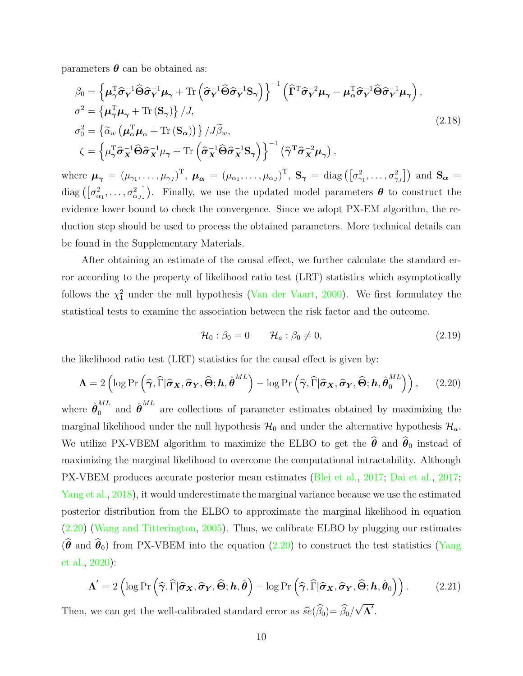parameters  $\boldsymbol{\theta}$  can be obtained as:

$$
\beta_0 = \left\{ \mu_\gamma^{\mathrm{T}} \hat{\sigma}_Y^{-1} \hat{\Theta} \hat{\sigma}_Y^{-1} \mu_\gamma + \text{Tr} \left( \hat{\sigma}_Y^{-1} \hat{\Theta} \hat{\sigma}_Y^{-1} \mathbf{S}_\gamma \right) \right\}^{-1} \left( \hat{\Gamma}^{\mathrm{T}} \hat{\sigma}_Y^{-2} \mu_\gamma - \mu_\alpha^{\mathrm{T}} \hat{\sigma}_Y^{-1} \hat{\Theta} \hat{\sigma}_Y^{-1} \mu_\gamma \right),
$$
\n
$$
\sigma^2 = \left\{ \mu_\gamma^{\mathrm{T}} \mu_\gamma + \text{Tr} \left( \mathbf{S}_\gamma \right) \right\} / J,
$$
\n
$$
\sigma_0^2 = \left\{ \tilde{\alpha}_w \left( \mu_\alpha^{\mathrm{T}} \mu_\alpha + \text{Tr} \left( \mathbf{S}_\alpha \right) \right) \right\} / J \tilde{\beta}_w,
$$
\n
$$
\zeta = \left\{ \mu_\gamma^{\mathrm{T}} \hat{\sigma}_X^{-1} \hat{\Theta} \hat{\sigma}_X^{-1} \mu_\gamma + \text{Tr} \left( \hat{\sigma}_X^{-1} \hat{\Theta} \hat{\sigma}_X^{-1} \mathbf{S}_\gamma \right) \right\}^{-1} \left( \hat{\gamma}^{\mathrm{T}} \hat{\sigma}_X^{-2} \mu_\gamma \right),
$$
\n(2.18)

where  $\boldsymbol{\mu}_{\boldsymbol{\gamma}} = (\mu_{\gamma_1}, \dots, \mu_{\gamma_J})^{\mathrm{T}}, \ \boldsymbol{\mu}_{\boldsymbol{\alpha}} = (\mu_{\alpha_1}, \dots, \mu_{\alpha_J})^{\mathrm{T}}, \ \mathbf{S}_{\boldsymbol{\gamma}} = \text{diag}\left([\sigma_{\gamma_1}^2, \dots, \sigma_{\gamma_J}^2]\right) \text{ and } \mathbf{S}_{\boldsymbol{\alpha}} =$ diag  $([\sigma_{\alpha_1}^2,\ldots,\sigma_{\alpha_J}^2])$ . Finally, we use the updated model parameters  $\boldsymbol{\theta}$  to construct the evidence lower bound to check the convergence. Since we adopt PX-EM algorithm, the reduction step should be used to process the obtained parameters. More technical details can be found in the Supplementary Materials.

After obtaining an estimate of the causal effect, we further calculate the standard error according to the property of likelihood ratio test (LRT) statistics which asymptotically follows the  $\chi^2$  under the null hypothesis [\(Van der Vaart,](#page-20-6) [2000\)](#page-20-6). We first formulatey the statistical tests to examine the association between the risk factor and the outcome.

$$
\mathcal{H}_0: \beta_0 = 0 \qquad \mathcal{H}_a: \beta_0 \neq 0,\tag{2.19}
$$

the likelihood ratio test (LRT) statistics for the causal effect is given by:

<span id="page-9-0"></span>
$$
\mathbf{\Lambda} = 2\left(\log \Pr\left(\widehat{\boldsymbol{\gamma}}, \widehat{\Gamma} | \widehat{\boldsymbol{\sigma}}_{\mathbf{X}}, \widehat{\boldsymbol{\sigma}}_{\mathbf{Y}}, \widehat{\boldsymbol{\Theta}}; \mathbf{h}, \widehat{\boldsymbol{\theta}}^{ML}\right) - \log \Pr\left(\widehat{\boldsymbol{\gamma}}, \widehat{\Gamma} | \widehat{\boldsymbol{\sigma}}_{\mathbf{X}}, \widehat{\boldsymbol{\sigma}}_{\mathbf{Y}}, \widehat{\boldsymbol{\Theta}}; \mathbf{h}, \widehat{\boldsymbol{\theta}}_0^{ML}\right)\right),\tag{2.20}
$$

where  $\hat{\boldsymbol{\theta}}_0^{ML}$  $\hat{\mathbf{\theta}}^{ML}$  and  $\hat{\mathbf{\theta}}^{ML}$  are collections of parameter estimates obtained by maximizing the marginal likelihood under the null hypothesis  $\mathcal{H}_0$  and under the alternative hypothesis  $\mathcal{H}_a$ . We utilize PX-VBEM algorithm to maximize the ELBO to get the  $\hat{\theta}$  and  $\hat{\theta}_0$  instead of maximizing the marginal likelihood to overcome the computational intractability. Although PX-VBEM produces accurate posterior mean estimates [\(Blei et al.,](#page-17-6) [2017;](#page-17-6) [Dai et al.,](#page-18-7) [2017;](#page-18-7) [Yang et al.,](#page-21-6) [2018\)](#page-21-6), it would underestimate the marginal variance because we use the estimated posterior distribution from the ELBO to approximate the marginal likelihood in equation [\(2.20\)](#page-9-0) [\(Wang and Titterington,](#page-21-7) [2005\)](#page-21-7). Thus, we calibrate ELBO by plugging our estimates  $(\widehat{\theta}$  and  $\widehat{\theta}_0)$  from PX-VBEM into the equation [\(2.20\)](#page-9-0) to construct the test statistics [\(Yang](#page-21-3) [et al.,](#page-21-3) [2020\)](#page-21-3):

$$
\Lambda' = 2\left(\log \Pr\left(\widehat{\boldsymbol{\gamma}}, \widehat{\Gamma} | \widehat{\boldsymbol{\sigma}}_{\boldsymbol{X}}, \widehat{\boldsymbol{\sigma}}_{\boldsymbol{Y}}, \widehat{\boldsymbol{\Theta}}; \boldsymbol{h}, \widehat{\boldsymbol{\theta}}\right) - \log \Pr\left(\widehat{\boldsymbol{\gamma}}, \widehat{\Gamma} | \widehat{\boldsymbol{\sigma}}_{\boldsymbol{X}}, \widehat{\boldsymbol{\sigma}}_{\boldsymbol{Y}}, \widehat{\boldsymbol{\Theta}}; \boldsymbol{h}, \widehat{\boldsymbol{\theta}}_0\right)\right).
$$
(2.21)

Then, we can get the well-calibrated standard error as  $\hat{se}(\beta_0) = \beta_0/$  $\overline{\Lambda ^{^{\prime }}}$  .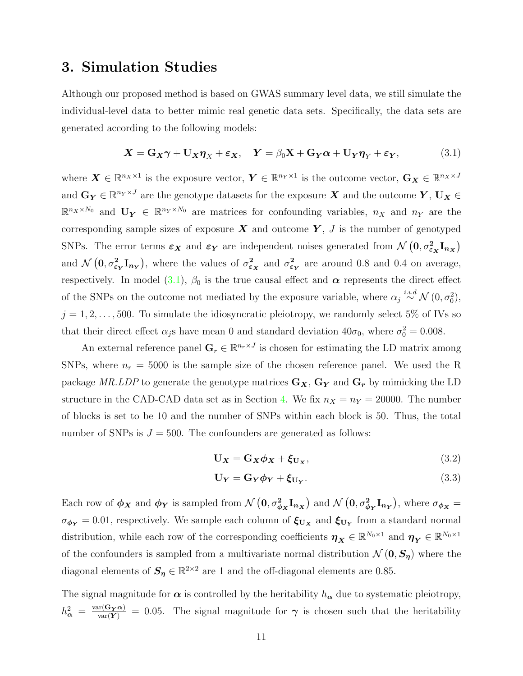### <span id="page-10-0"></span>3. Simulation Studies

Although our proposed method is based on GWAS summary level data, we still simulate the individual-level data to better mimic real genetic data sets. Specifically, the data sets are generated according to the following models:

<span id="page-10-1"></span>
$$
\mathbf{X} = \mathbf{G}_X \boldsymbol{\gamma} + \mathbf{U}_X \boldsymbol{\eta}_X + \boldsymbol{\varepsilon}_X, \quad \mathbf{Y} = \beta_0 \mathbf{X} + \mathbf{G}_Y \boldsymbol{\alpha} + \mathbf{U}_Y \boldsymbol{\eta}_Y + \boldsymbol{\varepsilon}_Y, \tag{3.1}
$$

where  $\boldsymbol{X} \in \mathbb{R}^{n_X \times 1}$  is the exposure vector,  $\boldsymbol{Y} \in \mathbb{R}^{n_Y \times 1}$  is the outcome vector,  $\mathbf{G}_{\boldsymbol{X}} \in \mathbb{R}^{n_X \times J}$ and  $\mathbf{G_Y} \in \mathbb{R}^{n_Y \times J}$  are the genotype datasets for the exposure  $\boldsymbol{X}$  and the outcome  $\boldsymbol{Y}, \mathbf{U_X} \in$  $\mathbb{R}^{n_x \times N_0}$  and  $\mathbf{U_Y} \in \mathbb{R}^{n_Y \times N_0}$  are matrices for confounding variables,  $n_X$  and  $n_Y$  are the corresponding sample sizes of exposure  $X$  and outcome  $Y$ ,  $J$  is the number of genotyped SNPs. The error terms  $\varepsilon_X$  and  $\varepsilon_Y$  are independent noises generated from  $\mathcal{N}(0, \sigma_{\varepsilon_X}^2 \mathbf{I}_{n_X})$ and  $\mathcal{N}(\mathbf{0}, \sigma_{\varepsilon_{\mathbf{Y}}}^2 \mathbf{I}_{n_{\mathbf{Y}}})$ , where the values of  $\sigma_{\varepsilon_{\mathbf{X}}}^2$  and  $\sigma_{\varepsilon_{\mathbf{Y}}}^2$  are around 0.8 and 0.4 on average, respectively. In model [\(3.1\)](#page-10-1),  $\beta_0$  is the true causal effect and  $\alpha$  represents the direct effect of the SNPs on the outcome not mediated by the exposure variable, where  $\alpha_j \stackrel{i.i.d}{\sim} \mathcal{N}(0, \sigma_0^2)$ ,  $j = 1, 2, \ldots, 500$ . To simulate the idiosyncratic pleiotropy, we randomly select 5% of IVs so that their direct effect  $\alpha_j$ s have mean 0 and standard deviation  $40\sigma_0$ , where  $\sigma_0^2 = 0.008$ .

An external reference panel  $\mathbf{G}_r \in \mathbb{R}^{n_r \times J}$  is chosen for estimating the LD matrix among SNPs, where  $n_r = 5000$  is the sample size of the chosen reference panel. We used the R package MR.LDP to generate the genotype matrices  $\mathbf{G}_{\mathbf{X}}, \mathbf{G}_{\mathbf{Y}}$  and  $\mathbf{G}_{\mathbf{r}}$  by mimicking the LD structure in the CAD-CAD data set as in Section [4.](#page-12-0) We fix  $n_X = n_Y = 20000$ . The number of blocks is set to be 10 and the number of SNPs within each block is 50. Thus, the total number of SNPs is  $J = 500$ . The confounders are generated as follows:

$$
\mathbf{U}_{\mathbf{X}} = \mathbf{G}_{\mathbf{X}} \boldsymbol{\phi}_{\mathbf{X}} + \boldsymbol{\xi}_{\mathbf{U}_{\mathbf{X}}},\tag{3.2}
$$

$$
\mathbf{U}_{\mathbf{Y}} = \mathbf{G}_{\mathbf{Y}} \boldsymbol{\phi}_{\mathbf{Y}} + \boldsymbol{\xi}_{\mathbf{U}_{\mathbf{Y}}}.\tag{3.3}
$$

Each row of  $\phi_X$  and  $\phi_Y$  is sampled from  $\mathcal{N}(\mathbf{0}, \sigma_{\phi_X}^2 \mathbf{I}_{n_X})$  and  $\mathcal{N}(\mathbf{0}, \sigma_{\phi_Y}^2 \mathbf{I}_{n_Y})$ , where  $\sigma_{\phi_X} =$  $\sigma_{\phi_Y} = 0.01$ , respectively. We sample each column of  $\xi_{U_X}$  and  $\xi_{U_Y}$  from a standard normal distribution, while each row of the corresponding coefficients  $\boldsymbol{\eta}_{\boldsymbol{X}} \in \mathbb{R}^{N_0 \times 1}$  and  $\boldsymbol{\eta}_{\boldsymbol{Y}} \in \mathbb{R}^{N_0 \times 1}$ of the confounders is sampled from a multivariate normal distribution  $\mathcal{N}(\mathbf{0}, \mathbf{S}_n)$  where the diagonal elements of  $S_{\eta} \in \mathbb{R}^{2 \times 2}$  are 1 and the off-diagonal elements are 0.85.

The signal magnitude for  $\alpha$  is controlled by the heritability  $h_{\alpha}$  due to systematic pleiotropy,  $h_{\alpha}^2 = \frac{\text{var}(\mathbf{G_Y}\alpha)}{\text{var}(\mathbf{Y})} = 0.05$ . The signal magnitude for  $\gamma$  is chosen such that the heritability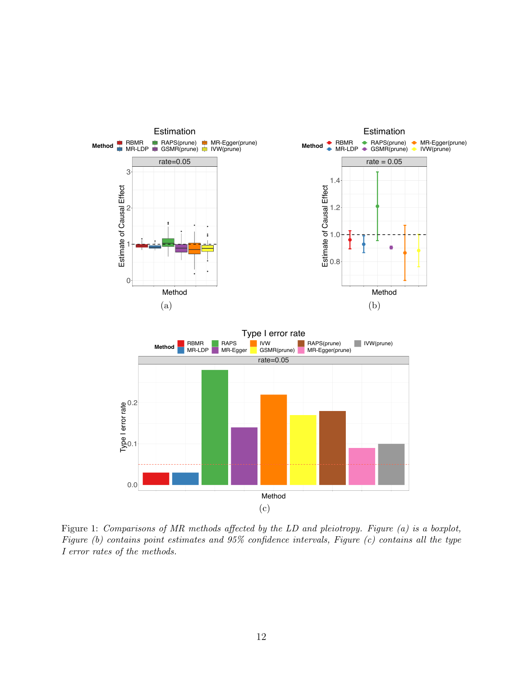

Figure 1: Comparisons of MR methods affected by the LD and pleiotropy. Figure (a) is a boxplot, Figure (b) contains point estimates and 95% confidence intervals, Figure (c) contains all the type I error rates of the methods.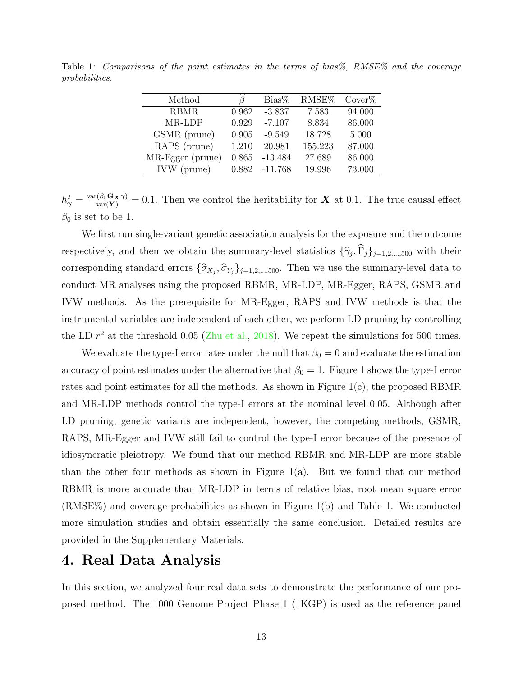| R     | $Bias\%$  | RMSE%   | Cover% |
|-------|-----------|---------|--------|
| 0.962 | $-3.837$  | 7.583   | 94.000 |
| 0.929 | $-7.107$  | 8.834   | 86.000 |
| 0.905 | $-9.549$  | 18.728  | 5.000  |
| 1.210 | 20.981    | 155.223 | 87.000 |
| 0.865 | $-13.484$ | 27.689  | 86.000 |
| 0.882 | $-11.768$ | 19.996  | 73.000 |
|       |           |         |        |

Table 1: Comparisons of the point estimates in the terms of bias%, RMSE% and the coverage probabilities.

 $h^2_{\gamma} = \frac{\text{var}(\beta_0 \mathbf{G_X} \gamma)}{\text{var}(\mathbf{Y})} = 0.1$ . Then we control the heritability for **X** at 0.1. The true causal effect  $\beta_0$  is set to be 1.

We first run single-variant genetic association analysis for the exposure and the outcome respectively, and then we obtain the summary-level statistics  $\{\hat{\gamma}_j, \Gamma_j\}_{j=1,2,\dots,500}$  with their corresponding standard errors  $\{\hat{\sigma}_{X_j}, \hat{\sigma}_{Y_j}\}_{j=1,2,\dots,500}$ . Then we use the summary-level data to conduct MR analyses using the proposed RBMR, MR-LDP, MR-Egger, RAPS, GSMR and IVW methods. As the prerequisite for MR-Egger, RAPS and IVW methods is that the instrumental variables are independent of each other, we perform LD pruning by controlling the LD  $r^2$  at the threshold 0.05 [\(Zhu et al.,](#page-21-2) [2018\)](#page-21-2). We repeat the simulations for 500 times.

We evaluate the type-I error rates under the null that  $\beta_0 = 0$  and evaluate the estimation accuracy of point estimates under the alternative that  $\beta_0 = 1$ . Figure 1 shows the type-I error rates and point estimates for all the methods. As shown in Figure 1(c), the proposed RBMR and MR-LDP methods control the type-I errors at the nominal level 0.05. Although after LD pruning, genetic variants are independent, however, the competing methods, GSMR, RAPS, MR-Egger and IVW still fail to control the type-I error because of the presence of idiosyncratic pleiotropy. We found that our method RBMR and MR-LDP are more stable than the other four methods as shown in Figure 1(a). But we found that our method RBMR is more accurate than MR-LDP in terms of relative bias, root mean square error (RMSE%) and coverage probabilities as shown in Figure 1(b) and Table 1. We conducted more simulation studies and obtain essentially the same conclusion. Detailed results are provided in the Supplementary Materials.

# <span id="page-12-0"></span>4. Real Data Analysis

In this section, we analyzed four real data sets to demonstrate the performance of our proposed method. The 1000 Genome Project Phase 1 (1KGP) is used as the reference panel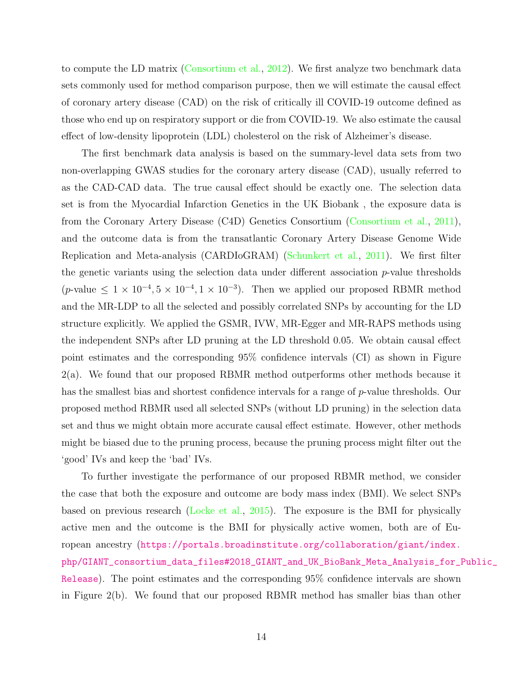to compute the LD matrix [\(Consortium et al.,](#page-18-5) [2012\)](#page-18-5). We first analyze two benchmark data sets commonly used for method comparison purpose, then we will estimate the causal effect of coronary artery disease (CAD) on the risk of critically ill COVID-19 outcome defined as those who end up on respiratory support or die from COVID-19. We also estimate the causal effect of low-density lipoprotein (LDL) cholesterol on the risk of Alzheimer's disease.

The first benchmark data analysis is based on the summary-level data sets from two non-overlapping GWAS studies for the coronary artery disease (CAD), usually referred to as the CAD-CAD data. The true causal effect should be exactly one. The selection data set is from the Myocardial Infarction Genetics in the UK Biobank , the exposure data is from the Coronary Artery Disease (C4D) Genetics Consortium [\(Consortium et al.,](#page-18-8) [2011\)](#page-18-8), and the outcome data is from the transatlantic Coronary Artery Disease Genome Wide Replication and Meta-analysis (CARDIoGRAM) [\(Schunkert et al.,](#page-20-7) [2011\)](#page-20-7). We first filter the genetic variants using the selection data under different association  $p$ -value thresholds  $(p$ -value  $\leq 1 \times 10^{-4}, 5 \times 10^{-4}, 1 \times 10^{-3}$ . Then we applied our proposed RBMR method and the MR-LDP to all the selected and possibly correlated SNPs by accounting for the LD structure explicitly. We applied the GSMR, IVW, MR-Egger and MR-RAPS methods using the independent SNPs after LD pruning at the LD threshold 0.05. We obtain causal effect point estimates and the corresponding 95% confidence intervals (CI) as shown in Figure 2(a). We found that our proposed RBMR method outperforms other methods because it has the smallest bias and shortest confidence intervals for a range of p-value thresholds. Our proposed method RBMR used all selected SNPs (without LD pruning) in the selection data set and thus we might obtain more accurate causal effect estimate. However, other methods might be biased due to the pruning process, because the pruning process might filter out the 'good' IVs and keep the 'bad' IVs.

To further investigate the performance of our proposed RBMR method, we consider the case that both the exposure and outcome are body mass index (BMI). We select SNPs based on previous research [\(Locke et al.,](#page-20-8) [2015\)](#page-20-8). The exposure is the BMI for physically active men and the outcome is the BMI for physically active women, both are of European ancestry ([https://portals.broadinstitute.org/collaboration/giant/index.](https://portals.broadinstitute.org/collaboration/giant/index.php/GIANT_consortium_data_files#2018_GIANT_and_UK_BioBank_Meta_Analysis_for_Public_Release) [php/GIANT\\_consortium\\_data\\_files#2018\\_GIANT\\_and\\_UK\\_BioBank\\_Meta\\_Analysis\\_for\\_P](https://portals.broadinstitute.org/collaboration/giant/index.php/GIANT_consortium_data_files#2018_GIANT_and_UK_BioBank_Meta_Analysis_for_Public_Release)ublic\_ [Release](https://portals.broadinstitute.org/collaboration/giant/index.php/GIANT_consortium_data_files#2018_GIANT_and_UK_BioBank_Meta_Analysis_for_Public_Release)). The point estimates and the corresponding 95% confidence intervals are shown in Figure 2(b). We found that our proposed RBMR method has smaller bias than other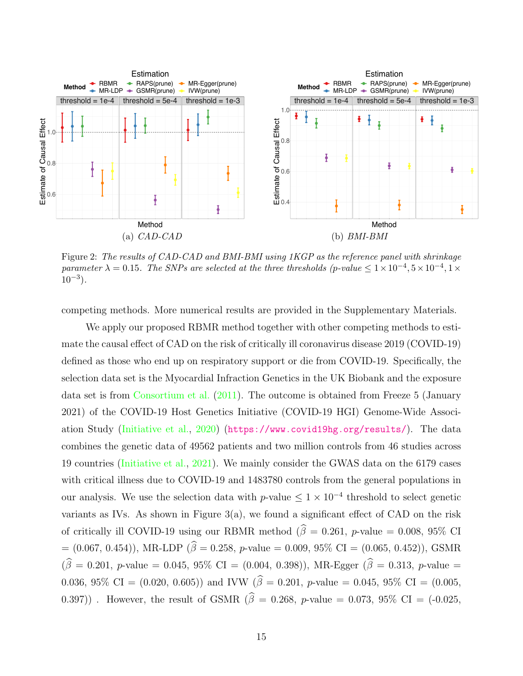

Figure 2: The results of CAD-CAD and BMI-BMI using 1KGP as the reference panel with shrinkage parameter  $\lambda = 0.15$ . The SNPs are selected at the three thresholds (p-value  $\leq 1 \times 10^{-4}$ ,  $5 \times 10^{-4}$ ,  $1 \times$  $10^{-3}$ ).

competing methods. More numerical results are provided in the Supplementary Materials.

We apply our proposed RBMR method together with other competing methods to estimate the causal effect of CAD on the risk of critically ill coronavirus disease 2019 (COVID-19) defined as those who end up on respiratory support or die from COVID-19. Specifically, the selection data set is the Myocardial Infraction Genetics in the UK Biobank and the exposure data set is from [Consortium et al.](#page-18-8) [\(2011\)](#page-18-8). The outcome is obtained from Freeze 5 (January 2021) of the COVID-19 Host Genetics Initiative (COVID-19 HGI) Genome-Wide Association Study [\(Initiative et al.,](#page-19-7) [2020\)](#page-19-7) (<https://www.covid19hg.org/results/>). The data combines the genetic data of 49562 patients and two million controls from 46 studies across 19 countries [\(Initiative et al.,](#page-19-8) [2021\)](#page-19-8). We mainly consider the GWAS data on the 6179 cases with critical illness due to COVID-19 and 1483780 controls from the general populations in our analysis. We use the selection data with p-value  $\leq 1 \times 10^{-4}$  threshold to select genetic variants as IVs. As shown in Figure 3(a), we found a significant effect of CAD on the risk of critically ill COVID-19 using our RBMR method ( $\hat{\beta} = 0.261$ , p-value = 0.008, 95% CI  $= (0.067, 0.454)$ , MR-LDP ( $\hat{\beta} = 0.258$ , p-value = 0.009, 95% CI = (0.065, 0.452)), GSMR  $(\hat{\beta} = 0.201, p$ -value = 0.045, 95% CI = (0.004, 0.398)), MR-Egger ( $\hat{\beta} = 0.313, p$ -value = 0.036, 95% CI = (0.020, 0.605)) and IVW ( $\hat{\beta} = 0.201$ , p-value = 0.045, 95% CI = (0.005, 0.397)). However, the result of GSMR ( $\hat{\beta} = 0.268$ , p-value = 0.073, 95% CI = (-0.025,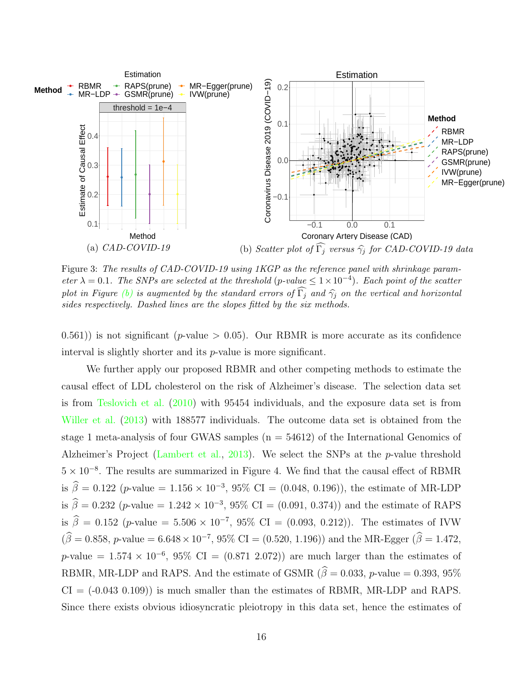

<span id="page-15-0"></span>Figure 3: The results of CAD-COVID-19 using 1KGP as the reference panel with shrinkage parameter  $\lambda = 0.1$ . The SNPs are selected at the threshold (p-value  $\leq 1 \times 10^{-4}$ ). Each point of the scatter plot in Figure [\(b\)](#page-15-0) is augmented by the standard errors of  $\widehat{\Gamma}_i$  and  $\widehat{\gamma}_i$  on the vertical and horizontal sides respectively. Dashed lines are the slopes fitted by the six methods.

 $(0.561)$ ) is not significant (p-value  $> 0.05$ ). Our RBMR is more accurate as its confidence interval is slightly shorter and its p-value is more significant.

We further apply our proposed RBMR and other competing methods to estimate the causal effect of LDL cholesterol on the risk of Alzheimer's disease. The selection data set is from [Teslovich et al.](#page-20-9) [\(2010\)](#page-20-9) with 95454 individuals, and the exposure data set is from [Willer et al.](#page-21-8) [\(2013\)](#page-21-8) with 188577 individuals. The outcome data set is obtained from the stage 1 meta-analysis of four GWAS samples  $(n = 54612)$  of the International Genomics of Alzheimer's Project [\(Lambert et al.,](#page-19-9) [2013\)](#page-19-9). We select the SNPs at the p-value threshold 5 × 10<sup>−</sup><sup>8</sup> . The results are summarized in Figure 4. We find that the causal effect of RBMR is  $\hat{\beta} = 0.122$  (p-value = 1.156 × 10<sup>-3</sup>, 95% CI = (0.048, 0.196)), the estimate of MR-LDP is  $\hat{\beta} = 0.232$  (p-value = 1.242 × 10<sup>-3</sup>, 95% CI = (0.091, 0.374)) and the estimate of RAPS is  $\hat{\beta} = 0.152$  (p-value = 5.506 × 10<sup>-7</sup>, 95% CI = (0.093, 0.212)). The estimates of IVW  $(\hat{\beta} = 0.858, p$ -value = 6.648 × 10<sup>-7</sup>, 95% CI = (0.520, 1.196)) and the MR-Egger ( $\hat{\beta} = 1.472$ , p-value =  $1.574 \times 10^{-6}$ , 95% CI =  $(0.871\ 2.072)$  are much larger than the estimates of RBMR, MR-LDP and RAPS. And the estimate of GSMR ( $\hat{\beta} = 0.033$ , p-value = 0.393, 95%)  $CI = (-0.043, 0.109)$  is much smaller than the estimates of RBMR, MR-LDP and RAPS. Since there exists obvious idiosyncratic pleiotropy in this data set, hence the estimates of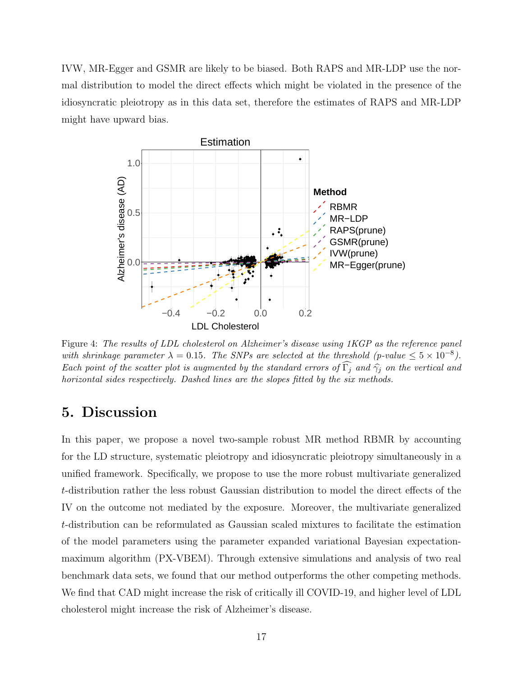IVW, MR-Egger and GSMR are likely to be biased. Both RAPS and MR-LDP use the normal distribution to model the direct effects which might be violated in the presence of the idiosyncratic pleiotropy as in this data set, therefore the estimates of RAPS and MR-LDP might have upward bias.



Figure 4: The results of LDL cholesterol on Alzheimer's disease using 1KGP as the reference panel with shrinkage parameter  $\lambda = 0.15$ . The SNPs are selected at the threshold (p-value  $\leq 5 \times 10^{-8}$ ). Each point of the scatter plot is augmented by the standard errors of  $\widehat{\Gamma}_i$  and  $\widehat{\gamma}_i$  on the vertical and horizontal sides respectively. Dashed lines are the slopes fitted by the six methods.

# 5. Discussion

In this paper, we propose a novel two-sample robust MR method RBMR by accounting for the LD structure, systematic pleiotropy and idiosyncratic pleiotropy simultaneously in a unified framework. Specifically, we propose to use the more robust multivariate generalized t-distribution rather the less robust Gaussian distribution to model the direct effects of the IV on the outcome not mediated by the exposure. Moreover, the multivariate generalized t-distribution can be reformulated as Gaussian scaled mixtures to facilitate the estimation of the model parameters using the parameter expanded variational Bayesian expectationmaximum algorithm (PX-VBEM). Through extensive simulations and analysis of two real benchmark data sets, we found that our method outperforms the other competing methods. We find that CAD might increase the risk of critically ill COVID-19, and higher level of LDL cholesterol might increase the risk of Alzheimer's disease.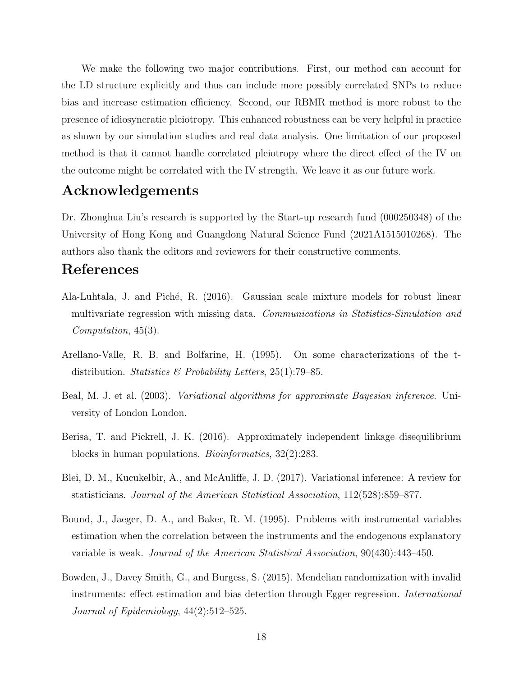We make the following two major contributions. First, our method can account for the LD structure explicitly and thus can include more possibly correlated SNPs to reduce bias and increase estimation efficiency. Second, our RBMR method is more robust to the presence of idiosyncratic pleiotropy. This enhanced robustness can be very helpful in practice as shown by our simulation studies and real data analysis. One limitation of our proposed method is that it cannot handle correlated pleiotropy where the direct effect of the IV on the outcome might be correlated with the IV strength. We leave it as our future work.

# Acknowledgements

Dr. Zhonghua Liu's research is supported by the Start-up research fund (000250348) of the University of Hong Kong and Guangdong Natural Science Fund (2021A1515010268). The authors also thank the editors and reviewers for their constructive comments.

## References

- <span id="page-17-5"></span>Ala-Luhtala, J. and Piché, R. (2016). Gaussian scale mixture models for robust linear multivariate regression with missing data. Communications in Statistics-Simulation and Computation, 45(3).
- <span id="page-17-0"></span>Arellano-Valle, R. B. and Bolfarine, H. (1995). On some characterizations of the tdistribution. Statistics & Probability Letters,  $25(1)$ :79–85.
- <span id="page-17-3"></span>Beal, M. J. et al. (2003). Variational algorithms for approximate Bayesian inference. University of London London.
- <span id="page-17-4"></span>Berisa, T. and Pickrell, J. K. (2016). Approximately independent linkage disequilibrium blocks in human populations. Bioinformatics, 32(2):283.
- <span id="page-17-6"></span>Blei, D. M., Kucukelbir, A., and McAuliffe, J. D. (2017). Variational inference: A review for statisticians. Journal of the American Statistical Association, 112(528):859–877.
- <span id="page-17-2"></span>Bound, J., Jaeger, D. A., and Baker, R. M. (1995). Problems with instrumental variables estimation when the correlation between the instruments and the endogenous explanatory variable is weak. Journal of the American Statistical Association, 90(430):443–450.
- <span id="page-17-1"></span>Bowden, J., Davey Smith, G., and Burgess, S. (2015). Mendelian randomization with invalid instruments: effect estimation and bias detection through Egger regression. International Journal of Epidemiology, 44(2):512–525.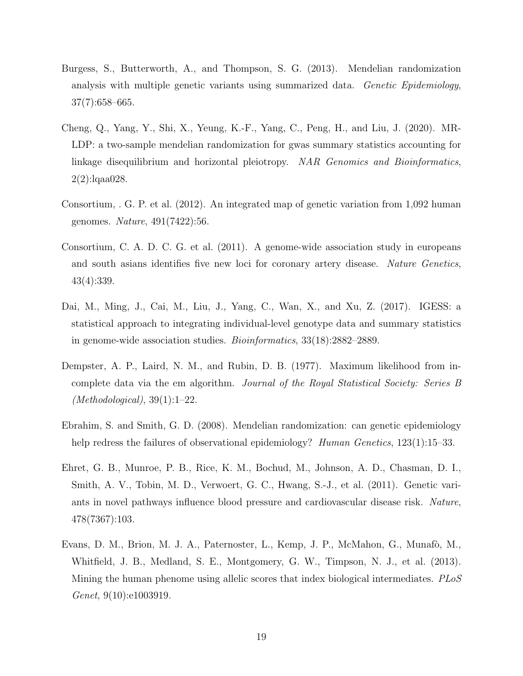- <span id="page-18-1"></span>Burgess, S., Butterworth, A., and Thompson, S. G. (2013). Mendelian randomization analysis with multiple genetic variants using summarized data. Genetic Epidemiology, 37(7):658–665.
- <span id="page-18-4"></span>Cheng, Q., Yang, Y., Shi, X., Yeung, K.-F., Yang, C., Peng, H., and Liu, J. (2020). MR-LDP: a two-sample mendelian randomization for gwas summary statistics accounting for linkage disequilibrium and horizontal pleiotropy. NAR Genomics and Bioinformatics, 2(2):lqaa028.
- <span id="page-18-5"></span>Consortium, . G. P. et al. (2012). An integrated map of genetic variation from 1,092 human genomes. Nature, 491(7422):56.
- <span id="page-18-8"></span>Consortium, C. A. D. C. G. et al. (2011). A genome-wide association study in europeans and south asians identifies five new loci for coronary artery disease. Nature Genetics, 43(4):339.
- <span id="page-18-7"></span>Dai, M., Ming, J., Cai, M., Liu, J., Yang, C., Wan, X., and Xu, Z. (2017). IGESS: a statistical approach to integrating individual-level genotype data and summary statistics in genome-wide association studies. Bioinformatics, 33(18):2882–2889.
- <span id="page-18-6"></span>Dempster, A. P., Laird, N. M., and Rubin, D. B. (1977). Maximum likelihood from incomplete data via the em algorithm. Journal of the Royal Statistical Society: Series B  $(Methodological), 39(1):1-22.$
- <span id="page-18-0"></span>Ebrahim, S. and Smith, G. D. (2008). Mendelian randomization: can genetic epidemiology help redress the failures of observational epidemiology? Human Genetics, 123(1):15–33.
- <span id="page-18-2"></span>Ehret, G. B., Munroe, P. B., Rice, K. M., Bochud, M., Johnson, A. D., Chasman, D. I., Smith, A. V., Tobin, M. D., Verwoert, G. C., Hwang, S.-J., et al. (2011). Genetic variants in novel pathways influence blood pressure and cardiovascular disease risk. Nature, 478(7367):103.
- <span id="page-18-3"></span>Evans, D. M., Brion, M. J. A., Paternoster, L., Kemp, J. P., McMahon, G., Munafò, M., Whitfield, J. B., Medland, S. E., Montgomery, G. W., Timpson, N. J., et al. (2013). Mining the human phenome using allelic scores that index biological intermediates. PLoS Genet, 9(10):e1003919.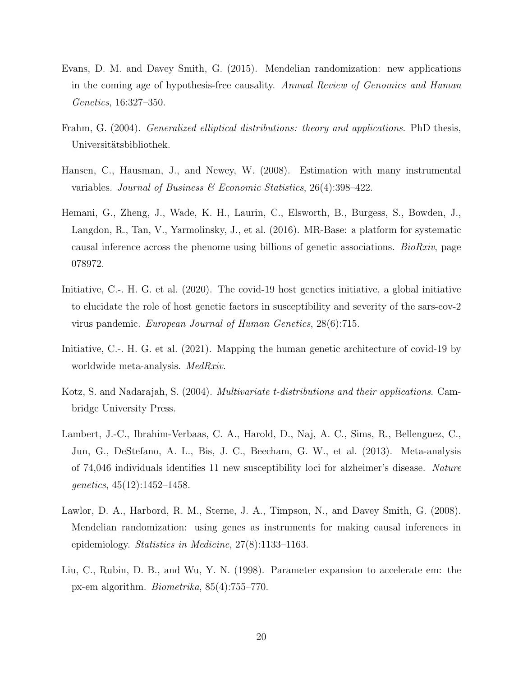- <span id="page-19-1"></span>Evans, D. M. and Davey Smith, G. (2015). Mendelian randomization: new applications in the coming age of hypothesis-free causality. Annual Review of Genomics and Human Genetics, 16:327–350.
- <span id="page-19-3"></span>Frahm, G. (2004). *Generalized elliptical distributions: theory and applications.* PhD thesis, Universitätsbibliothek.
- <span id="page-19-2"></span>Hansen, C., Hausman, J., and Newey, W. (2008). Estimation with many instrumental variables. Journal of Business  $\mathcal B$  Economic Statistics, 26(4):398-422.
- <span id="page-19-6"></span>Hemani, G., Zheng, J., Wade, K. H., Laurin, C., Elsworth, B., Burgess, S., Bowden, J., Langdon, R., Tan, V., Yarmolinsky, J., et al. (2016). MR-Base: a platform for systematic causal inference across the phenome using billions of genetic associations. *BioRxiv*, page 078972.
- <span id="page-19-7"></span>Initiative, C.-. H. G. et al. (2020). The covid-19 host genetics initiative, a global initiative to elucidate the role of host genetic factors in susceptibility and severity of the sars-cov-2 virus pandemic. European Journal of Human Genetics, 28(6):715.
- <span id="page-19-8"></span>Initiative, C.-. H. G. et al. (2021). Mapping the human genetic architecture of covid-19 by worldwide meta-analysis. MedRxiv.
- <span id="page-19-5"></span>Kotz, S. and Nadarajah, S. (2004). Multivariate t-distributions and their applications. Cambridge University Press.
- <span id="page-19-9"></span>Lambert, J.-C., Ibrahim-Verbaas, C. A., Harold, D., Naj, A. C., Sims, R., Bellenguez, C., Jun, G., DeStefano, A. L., Bis, J. C., Beecham, G. W., et al. (2013). Meta-analysis of 74,046 individuals identifies 11 new susceptibility loci for alzheimer's disease. Nature genetics, 45(12):1452–1458.
- <span id="page-19-0"></span>Lawlor, D. A., Harbord, R. M., Sterne, J. A., Timpson, N., and Davey Smith, G. (2008). Mendelian randomization: using genes as instruments for making causal inferences in epidemiology. Statistics in Medicine, 27(8):1133–1163.
- <span id="page-19-4"></span>Liu, C., Rubin, D. B., and Wu, Y. N. (1998). Parameter expansion to accelerate em: the px-em algorithm. Biometrika, 85(4):755–770.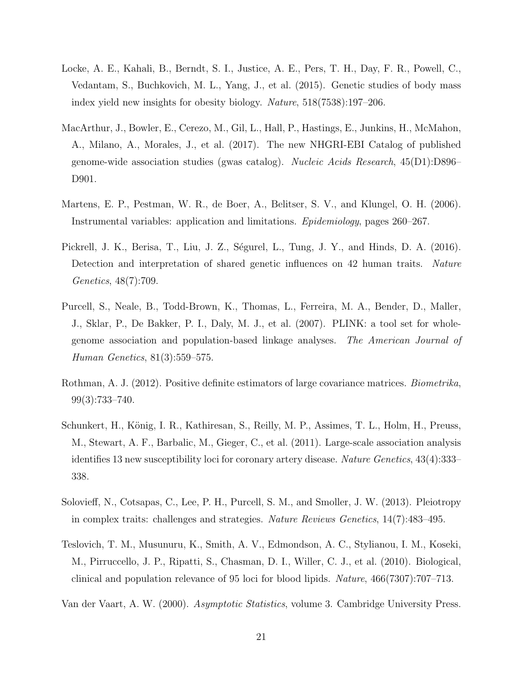- <span id="page-20-8"></span>Locke, A. E., Kahali, B., Berndt, S. I., Justice, A. E., Pers, T. H., Day, F. R., Powell, C., Vedantam, S., Buchkovich, M. L., Yang, J., et al. (2015). Genetic studies of body mass index yield new insights for obesity biology. Nature, 518(7538):197–206.
- <span id="page-20-0"></span>MacArthur, J., Bowler, E., Cerezo, M., Gil, L., Hall, P., Hastings, E., Junkins, H., McMahon, A., Milano, A., Morales, J., et al. (2017). The new NHGRI-EBI Catalog of published genome-wide association studies (gwas catalog). Nucleic Acids Research, 45(D1):D896– D901.
- <span id="page-20-2"></span>Martens, E. P., Pestman, W. R., de Boer, A., Belitser, S. V., and Klungel, O. H. (2006). Instrumental variables: application and limitations. Epidemiology, pages 260–267.
- <span id="page-20-1"></span>Pickrell, J. K., Berisa, T., Liu, J. Z., Ségurel, L., Tung, J. Y., and Hinds, D. A. (2016). Detection and interpretation of shared genetic influences on 42 human traits. Nature Genetics, 48(7):709.
- <span id="page-20-4"></span>Purcell, S., Neale, B., Todd-Brown, K., Thomas, L., Ferreira, M. A., Bender, D., Maller, J., Sklar, P., De Bakker, P. I., Daly, M. J., et al. (2007). PLINK: a tool set for wholegenome association and population-based linkage analyses. The American Journal of Human Genetics, 81(3):559–575.
- <span id="page-20-5"></span>Rothman, A. J. (2012). Positive definite estimators of large covariance matrices. Biometrika, 99(3):733–740.
- <span id="page-20-7"></span>Schunkert, H., König, I. R., Kathiresan, S., Reilly, M. P., Assimes, T. L., Holm, H., Preuss, M., Stewart, A. F., Barbalic, M., Gieger, C., et al. (2011). Large-scale association analysis identifies 13 new susceptibility loci for coronary artery disease. Nature Genetics, 43(4):333– 338.
- <span id="page-20-3"></span>Solovieff, N., Cotsapas, C., Lee, P. H., Purcell, S. M., and Smoller, J. W. (2013). Pleiotropy in complex traits: challenges and strategies. Nature Reviews Genetics, 14(7):483–495.
- <span id="page-20-9"></span>Teslovich, T. M., Musunuru, K., Smith, A. V., Edmondson, A. C., Stylianou, I. M., Koseki, M., Pirruccello, J. P., Ripatti, S., Chasman, D. I., Willer, C. J., et al. (2010). Biological, clinical and population relevance of 95 loci for blood lipids. Nature, 466(7307):707–713.
- <span id="page-20-6"></span>Van der Vaart, A. W. (2000). Asymptotic Statistics, volume 3. Cambridge University Press.